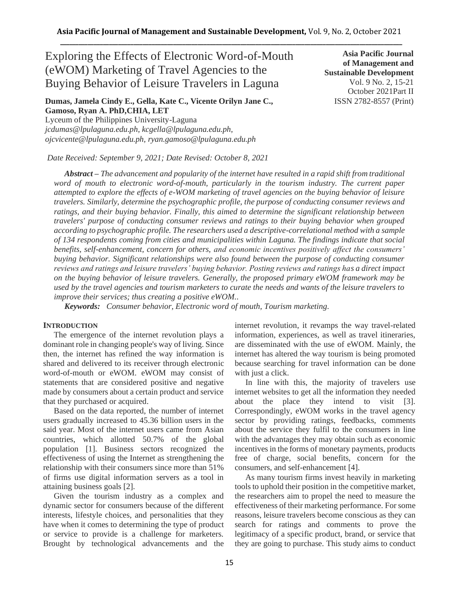# Exploring the Effects of Electronic Word-of-Mouth (eWOM) Marketing of Travel Agencies to the Buying Behavior of Leisure Travelers in Laguna

## **Dumas, Jamela Cindy E., Gella, Kate C., Vicente Orilyn Jane C., Gamoso, Ryan A. PhD,CHIA, LET**

Lyceum of the Philippines University-Laguna *jcdumas@lpulaguna.edu.ph, kcgella@lpulaguna.edu.ph, ojcvicente@lpulaguna.edu.ph, ryan.gamoso@lpulaguna.edu.ph*

*Date Received: September 9, 2021; Date Revised: October 8, 2021*

*Abstract – The advancement and popularity of the internet have resulted in a rapid shift from traditional word of mouth to electronic word-of-mouth, particularly in the tourism industry. The current paper attempted to explore the effects of e-WOM marketing of travel agencies on the buying behavior of leisure travelers. Similarly, determine the psychographic profile, the purpose of conducting consumer reviews and ratings, and their buying behavior. Finally, this aimed to determine the significant relationship between travelers' purpose of conducting consumer reviews and ratings to their buying behavior when grouped according to psychographic profile. The researchers used a descriptive-correlational method with a sample of 134 respondents coming from cities and municipalities within Laguna. The findings indicate that social benefits, self-enhancement, concern for others, and economic incentives positively affect the consumers' buying behavior. Significant relationships were also found between the purpose of conducting consumer reviews and ratings and leisure travelers' buying behavior. Posting reviews and ratings has a direct impact on the buying behavior of leisure travelers. Generally, the proposed primary eWOM framework may be used by the travel agencies and tourism marketers to curate the needs and wants of the leisure travelers to improve their services; thus creating a positive eWOM..*

*Keywords: Consumer behavior, Electronic word of mouth, Tourism marketing.* 

## **INTRODUCTION**

The emergence of the internet revolution plays a dominant role in changing people's way of living. Since then, the internet has refined the way information is shared and delivered to its receiver through electronic word-of-mouth or eWOM. eWOM may consist of statements that are considered positive and negative made by consumers about a certain product and service that they purchased or acquired.

Based on the data reported, the number of internet users gradually increased to 45.36 billion users in the said year. Most of the internet users came from Asian countries, which allotted 50.7% of the global population [1]. Business sectors recognized the effectiveness of using the Internet as strengthening the relationship with their consumers since more than 51% of firms use digital information servers as a tool in attaining business goals [2].

Given the tourism industry as a complex and dynamic sector for consumers because of the different interests, lifestyle choices, and personalities that they have when it comes to determining the type of product or service to provide is a challenge for marketers. Brought by technological advancements and the internet revolution, it revamps the way travel-related information, experiences, as well as travel itineraries, are disseminated with the use of eWOM. Mainly, the internet has altered the way tourism is being promoted because searching for travel information can be done with just a click.

In line with this, the majority of travelers use internet websites to get all the information they needed about the place they intend to visit [3]. Correspondingly, eWOM works in the travel agency sector by providing ratings, feedbacks, comments about the service they fulfil to the consumers in line with the advantages they may obtain such as economic incentives in the forms of monetary payments, products free of charge, social benefits, concern for the consumers, and self-enhancement [4].

As many tourism firms invest heavily in marketing tools to uphold their position in the competitive market, the researchers aim to propel the need to measure the effectiveness of their marketing performance. For some reasons, leisure travelers become conscious as they can search for ratings and comments to prove the legitimacy of a specific product, brand, or service that they are going to purchase. This study aims to conduct

**Sustainable Development**  Vol. 9 No. 2, 15-21 October 2021Part II ISSN 2782-8557 (Print)

**Asia Pacific Journal of Management and**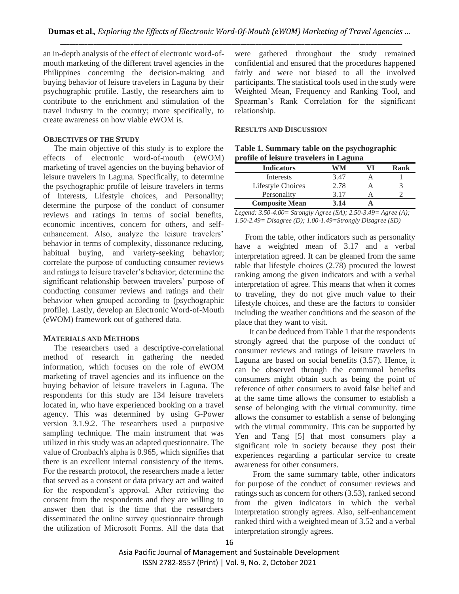an in-depth analysis of the effect of electronic word-ofmouth marketing of the different travel agencies in the Philippines concerning the decision-making and buying behavior of leisure travelers in Laguna by their psychographic profile. Lastly, the researchers aim to contribute to the enrichment and stimulation of the travel industry in the country; more specifically, to create awareness on how viable eWOM is.

#### **OBJECTIVES OF THE STUDY**

The main objective of this study is to explore the effects of electronic word-of-mouth (eWOM) marketing of travel agencies on the buying behavior of leisure travelers in Laguna. Specifically, to determine the psychographic profile of leisure travelers in terms of Interests, Lifestyle choices, and Personality; determine the purpose of the conduct of consumer reviews and ratings in terms of social benefits, economic incentives, concern for others, and selfenhancement. Also, analyze the leisure travelers' behavior in terms of complexity, dissonance reducing, habitual buying, and variety-seeking behavior; correlate the purpose of conducting consumer reviews and ratings to leisure traveler's behavior; determine the significant relationship between travelers' purpose of conducting consumer reviews and ratings and their behavior when grouped according to (psychographic profile). Lastly, develop an Electronic Word-of-Mouth (eWOM) framework out of gathered data.

## **MATERIALS AND METHODS**

The researchers used a descriptive-correlational method of research in gathering the needed information, which focuses on the role of eWOM marketing of travel agencies and its influence on the buying behavior of leisure travelers in Laguna. The respondents for this study are 134 leisure travelers located in, who have experienced booking on a travel agency. This was determined by using G-Power version 3.1.9.2. The researchers used a purposive sampling technique. The main instrument that was utilized in this study was an adapted questionnaire. The value of Cronbach's alpha is 0.965, which signifies that there is an excellent internal consistency of the items. For the research protocol, the researchers made a letter that served as a consent or data privacy act and waited for the respondent's approval. After retrieving the consent from the respondents and they are willing to answer then that is the time that the researchers disseminated the online survey questionnaire through the utilization of Microsoft Forms. All the data that

were gathered throughout the study remained confidential and ensured that the procedures happened fairly and were not biased to all the involved participants. The statistical tools used in the study were Weighted Mean, Frequency and Ranking Tool, and Spearman's Rank Correlation for the significant relationship.

## **RESULTS AND DISCUSSION**

| Table 1. Summary table on the psychographic |
|---------------------------------------------|
| profile of leisure travelers in Laguna      |

|                       | −    |      |
|-----------------------|------|------|
| <b>Indicators</b>     | NМ   | Rank |
| Interests             | 3.47 |      |
| Lifestyle Choices     | 2.78 |      |
| Personality           | 3 17 |      |
| <b>Composite Mean</b> | 3.14 |      |

*Legend: 3.50-4.00= Strongly Agree (SA); 2.50-3.49= Agree (A); 1.50-2.49= Disagree (D); 1.00-1.49=Strongly Disagree (SD)*

 From the table, other indicators such as personality have a weighted mean of 3.17 and a verbal interpretation agreed. It can be gleaned from the same table that lifestyle choices (2.78) procured the lowest ranking among the given indicators and with a verbal interpretation of agree. This means that when it comes to traveling, they do not give much value to their lifestyle choices, and these are the factors to consider including the weather conditions and the season of the place that they want to visit.

 It can be deduced from Table 1 that the respondents strongly agreed that the purpose of the conduct of consumer reviews and ratings of leisure travelers in Laguna are based on social benefits (3.57). Hence, it can be observed through the communal benefits consumers might obtain such as being the point of reference of other consumers to avoid false belief and at the same time allows the consumer to establish a sense of belonging with the virtual community. time allows the consumer to establish a sense of belonging with the virtual community. This can be supported by Yen and Tang [5] that most consumers play a significant role in society because they post their experiences regarding a particular service to create awareness for other consumers.

From the same summary table, other indicators for purpose of the conduct of consumer reviews and ratings such as concern for others (3.53), ranked second from the given indicators in which the verbal interpretation strongly agrees. Also, self-enhancement ranked third with a weighted mean of 3.52 and a verbal interpretation strongly agrees.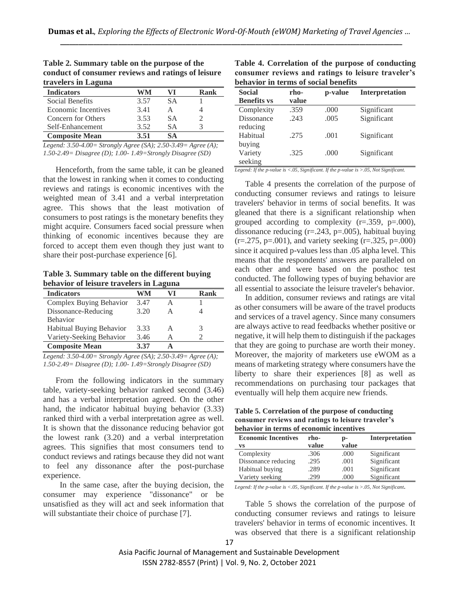| travelers in Laguna        |      |           |      |
|----------------------------|------|-----------|------|
| <b>Indicators</b>          | WM   | VI        | Rank |
| Social Benefits            | 3.57 | SА        |      |
| <b>Economic Incentives</b> | 3.41 | A         |      |
| Concern for Others         | 3.53 | <b>SA</b> |      |
| Self-Enhancement           | 3.52 | SА        |      |
| <b>Composite Mean</b>      | 3.51 | SА        |      |

**Table 2. Summary table on the purpose of the conduct of consumer reviews and ratings of leisure travelers in Laguna** 

*Legend: 3.50-4.00= Strongly Agree (SA); 2.50-3.49= Agree (A); 1.50-2.49= Disagree (D); 1.00- 1.49=Strongly Disagree (SD)*

 Henceforth, from the same table, it can be gleaned that the lowest in ranking when it comes to conducting reviews and ratings is economic incentives with the weighted mean of 3.41 and a verbal interpretation agree. This shows that the least motivation of consumers to post ratings is the monetary benefits they might acquire. Consumers faced social pressure when thinking of economic incentives because they are forced to accept them even though they just want to share their post-purchase experience [6].

**Table 3. Summary table on the different buying behavior of leisure travelers in Laguna** 

| <b>Indicators</b>        | WM   | VI | Rank |
|--------------------------|------|----|------|
| Complex Buying Behavior  | 3.47 |    |      |
| Dissonance-Reducing      | 3.20 | А  |      |
| <b>Behavior</b>          |      |    |      |
| Habitual Buying Behavior | 3.33 | А  | 3    |
| Variety-Seeking Behavior | 3.46 |    |      |
| <b>Composite Mean</b>    | 3.37 |    |      |

*Legend: 3.50-4.00= Strongly Agree (SA); 2.50-3.49= Agree (A); 1.50-2.49= Disagree (D); 1.00- 1.49=Strongly Disagree (SD)*

 From the following indicators in the summary table, variety-seeking behavior ranked second (3.46) and has a verbal interpretation agreed. On the other hand, the indicator habitual buying behavior (3.33) ranked third with a verbal interpretation agree as well. It is shown that the dissonance reducing behavior got the lowest rank (3.20) and a verbal interpretation agrees. This signifies that most consumers tend to conduct reviews and ratings because they did not want to feel any dissonance after the post-purchase experience.

 In the same case, after the buying decision, the consumer may experience "dissonance" or be unsatisfied as they will act and seek information that will substantiate their choice of purchase [7].

**Table 4. Correlation of the purpose of conducting consumer reviews and ratings to leisure traveler's behavior in terms of social benefits**

| <b>Social</b><br><b>Benefits vs</b> | rho-<br>value | p-value | <b>Interpretation</b> |
|-------------------------------------|---------------|---------|-----------------------|
| Complexity                          | .359          | .000    | Significant           |
| <b>Dissonance</b>                   | .243          | .005    | Significant           |
| reducing                            |               |         |                       |
| Habitual                            | .275          | .001    | Significant           |
| buying                              |               |         |                       |
| Variety                             | .325          | .000    | Significant           |
| seeking                             |               |         |                       |

*Legend: If the p-value is <.05, Significant. If the p-value is >.05, Not Significant.*

 Table 4 presents the correlation of the purpose of conducting consumer reviews and ratings to leisure travelers' behavior in terms of social benefits. It was gleaned that there is a significant relationship when grouped according to complexity  $(r=.359, p=.000)$ , dissonance reducing  $(r=.243, p=.005)$ , habitual buying  $(r=.275, p=.001)$ , and variety seeking  $(r=.325, p=.000)$ since it acquired p-values less than .05 alpha level. This means that the respondents' answers are paralleled on each other and were based on the posthoc test conducted. The following types of buying behavior are all essential to associate the leisure traveler's behavior.

 In addition, consumer reviews and ratings are vital as other consumers will be aware of the travel products and services of a travel agency. Since many consumers are always active to read feedbacks whether positive or negative, it will help them to distinguish if the packages that they are going to purchase are worth their money. Moreover, the majority of marketers use eWOM as a means of marketing strategy where consumers have the liberty to share their experiences [8] as well as recommendations on purchasing tour packages that eventually will help them acquire new friends.

**Table 5. Correlation of the purpose of conducting consumer reviews and ratings to leisure traveler's behavior in terms of economic incentives**

| <b>Economic Incentives</b><br>VS | rho-<br>value | p-<br>value | <b>Interpretation</b> |
|----------------------------------|---------------|-------------|-----------------------|
| Complexity                       | .306          | .000        | Significant           |
| Dissonance reducing              | .295          | .001        | Significant           |
| Habitual buying                  | .289          | .001        | Significant           |
| Variety seeking                  | 299           | .000        | Significant           |

*Legend: If the p-value is <.05, Significant. If the p-value is >.05, Not Significant.*

Table 5 shows the correlation of the purpose of conducting consumer reviews and ratings to leisure travelers' behavior in terms of economic incentives. It was observed that there is a significant relationship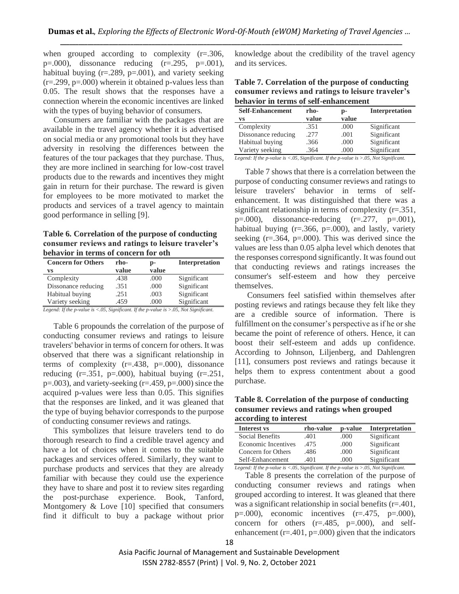when grouped according to complexity  $(r=.306, ...)$  $p=.000$ , dissonance reducing  $(r=.295, p=.001)$ , habitual buying  $(r=.289, p=.001)$ , and variety seeking  $(r=.299, p=.000)$  wherein it obtained p-values less than 0.05. The result shows that the responses have a connection wherein the economic incentives are linked with the types of buying behavior of consumers.

 Consumers are familiar with the packages that are available in the travel agency whether it is advertised on social media or any promotional tools but they have adversity in resolving the differences between the features of the tour packages that they purchase. Thus, they are more inclined in searching for low-cost travel products due to the rewards and incentives they might gain in return for their purchase. The reward is given for employees to be more motivated to market the products and services of a travel agency to maintain good performance in selling [9].

**Table 6. Correlation of the purpose of conducting consumer reviews and ratings to leisure traveler's behavior in terms of concern for oth**

| <b>Concern for Others</b><br>VS | rho-<br>value | p-<br>value | <b>Interpretation</b> |
|---------------------------------|---------------|-------------|-----------------------|
| Complexity                      | .438          | .000        | Significant           |
| Dissonance reducing             | .351          | .000        | Significant           |
| Habitual buying                 | .251          | .003        | Significant           |
| Variety seeking                 | .459          | .000        | Significant           |

*Legend: If the p-value is <.05, Significant. If the p-value is >.05, Not Significant.*

 Table 6 propounds the correlation of the purpose of conducting consumer reviews and ratings to leisure travelers' behavior in terms of concern for others. It was observed that there was a significant relationship in terms of complexity  $(r=.438, p=.000)$ , dissonance reducing  $(r=.351, p=.000)$ , habitual buying  $(r=.251, p=.000)$ p=.003), and variety-seeking (r=.459, p=.000) since the acquired p-values were less than 0.05. This signifies that the responses are linked, and it was gleaned that the type of buying behavior corresponds to the purpose of conducting consumer reviews and ratings.

 This symbolizes that leisure travelers tend to do thorough research to find a credible travel agency and have a lot of choices when it comes to the suitable packages and services offered. Similarly, they want to purchase products and services that they are already familiar with because they could use the experience they have to share and post it to review sites regarding the post-purchase experience. Book, Tanford, Montgomery & Love [10] specified that consumers find it difficult to buy a package without prior

knowledge about the credibility of the travel agency and its services.

**Table 7. Correlation of the purpose of conducting consumer reviews and ratings to leisure traveler's behavior in terms of self-enhancement**

| <b>Self-Enhancement</b>                                                                                   | rho-  | p-    | Interpretation |
|-----------------------------------------------------------------------------------------------------------|-------|-------|----------------|
| VS                                                                                                        | value | value |                |
| Complexity                                                                                                | .351  | .000  | Significant    |
| Dissonance reducing                                                                                       | .277  | .001  | Significant    |
| Habitual buying                                                                                           | .366  | .000  | Significant    |
| Variety seeking                                                                                           | .364  | .000  | Significant    |
| Legend: If the p-value is $\langle .05, Significant$ . If the p-value is $\rangle .05$ , Not Significant. |       |       |                |

 Table 7 shows that there is a correlation between the purpose of conducting consumer reviews and ratings to leisure travelers' behavior in terms of selfenhancement. It was distinguished that there was a significant relationship in terms of complexity (r=.351,  $p=.000$ , dissonance-reducing  $(r=.277, p=.001)$ , habitual buying  $(r=.366, p=.000)$ , and lastly, variety seeking  $(r=.364, p=.000)$ . This was derived since the values are less than 0.05 alpha level which denotes that the responses correspond significantly. It was found out that conducting reviews and ratings increases the consumer's self-esteem and how they perceive themselves.

 Consumers feel satisfied within themselves after posting reviews and ratings because they felt like they are a credible source of information. There is fulfillment on the consumer's perspective as if he or she became the point of reference of others. Hence, it can boost their self-esteem and adds up confidence. According to Johnson, Liljenberg, and Dahlengren [11], consumers post reviews and ratings because it helps them to express contentment about a good purchase.

**Table 8. Correlation of the purpose of conducting consumer reviews and ratings when grouped according to interest**

| <b>Interest vs</b>  | rho-value | p-value | <b>Interpretation</b> |
|---------------------|-----------|---------|-----------------------|
| Social Benefits     | .401      | .000    | Significant           |
| Economic Incentives | .475      | .000    | Significant           |
| Concern for Others  | .486      | .000    | Significant           |
| Self-Enhancement    | .401      | .000    | Significant           |

*Legend: If the p-value is <.05, Significant. If the p-value is >.05, Not Significant.* Table 8 presents the correlation of the purpose of conducting consumer reviews and ratings when grouped according to interest. It was gleaned that there was a significant relationship in social benefits (r=.401,  $p=.000$ , economic incentives  $(r=.475, p=.000)$ , concern for others (r=.485, p=.000), and selfenhancement ( $r = .401$ ,  $p = .000$ ) given that the indicators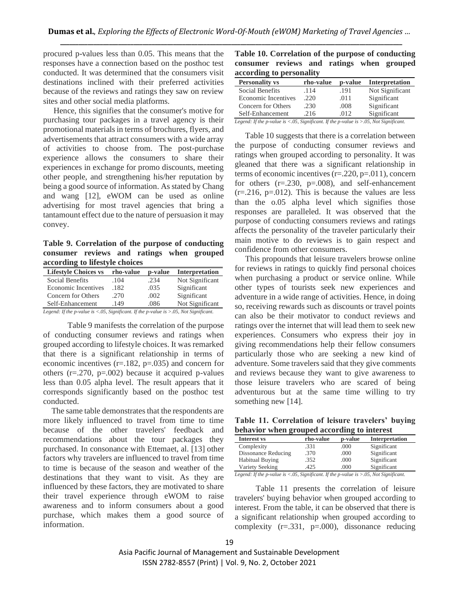procured p-values less than 0.05. This means that the responses have a connection based on the posthoc test conducted. It was determined that the consumers visit destinations inclined with their preferred activities because of the reviews and ratings they saw on review sites and other social media platforms.

 Hence, this signifies that the consumer's motive for purchasing tour packages in a travel agency is their promotional materials in terms of brochures, flyers, and advertisements that attract consumers with a wide array of activities to choose from. The post-purchase experience allows the consumers to share their experiences in exchange for promo discounts, meeting other people, and strengthening his/her reputation by being a good source of information. As stated by Chang and wang [12], eWOM can be used as online advertising for most travel agencies that bring a tantamount effect due to the nature of persuasion it may convey.

**Table 9. Correlation of the purpose of conducting consumer reviews and ratings when grouped according to lifestyle choices**

| rho-value | p-value | Interpretation  |
|-----------|---------|-----------------|
| .104      | .234    | Not Significant |
| .182      | .035    | Significant     |
| .270      | .002    | Significant     |
| .149      | .086    | Not Significant |
|           |         |                 |

*Legend: If the p-value is <.05, Significant. If the p-value is >.05, Not Significant.*

 Table 9 manifests the correlation of the purpose of conducting consumer reviews and ratings when grouped according to lifestyle choices. It was remarked that there is a significant relationship in terms of economic incentives  $(r=.182, p=.035)$  and concern for others  $(r=.270, p=.002)$  because it acquired p-values less than 0.05 alpha level. The result appears that it corresponds significantly based on the posthoc test conducted.

 The same table demonstrates that the respondents are more likely influenced to travel from time to time because of the other travelers' feedback and recommendations about the tour packages they purchased. In consonance with Ettemaet, al. [13] other factors why travelers are influenced to travel from time to time is because of the season and weather of the destinations that they want to visit. As they are influenced by these factors, they are motivated to share their travel experience through eWOM to raise awareness and to inform consumers about a good purchase, which makes them a good source of information.

**Table 10. Correlation of the purpose of conducting consumer reviews and ratings when grouped according to personality**

| <b>Personality vs</b>                                                                 | rho-value | p-value | Interpretation  |
|---------------------------------------------------------------------------------------|-----------|---------|-----------------|
| Social Benefits                                                                       | .114      | .191    | Not Significant |
| <b>Economic Incentives</b>                                                            | .220      | .011    | Significant     |
| Concern for Others                                                                    | .230      | .008    | Significant     |
| Self-Enhancement                                                                      | .216      | .012    | Significant     |
| Legend: If the p-value is <.05, Significant. If the p-value is >.05, Not Significant. |           |         |                 |

 Table 10 suggests that there is a correlation between the purpose of conducting consumer reviews and ratings when grouped according to personality. It was gleaned that there was a significant relationship in terms of economic incentives  $(r=.220, p=.011)$ , concern for others  $(r=.230, p=.008)$ , and self-enhancement  $(r=.216, p=.012)$ . This is because the values are less than the o.05 alpha level which signifies those responses are paralleled. It was observed that the purpose of conducting consumers reviews and ratings affects the personality of the traveler particularly their main motive to do reviews is to gain respect and confidence from other consumers.

 This propounds that leisure travelers browse online for reviews in ratings to quickly find personal choices when purchasing a product or service online. While other types of tourists seek new experiences and adventure in a wide range of activities. Hence, in doing so, receiving rewards such as discounts or travel points can also be their motivator to conduct reviews and ratings over the internet that will lead them to seek new experiences. Consumers who express their joy in giving recommendations help their fellow consumers particularly those who are seeking a new kind of adventure. Some travelers said that they give comments and reviews because they want to give awareness to those leisure travelers who are scared of being adventurous but at the same time willing to try something new [14].

**Table 11. Correlation of leisure travelers' buying behavior when grouped according to interest**

| rho-value | p-value | Interpretation |
|-----------|---------|----------------|
| .331      | .000    | Significant    |
| .370      | .000    | Significant    |
| .352      | .000    | Significant    |
| 425       | .000    | Significant    |
|           |         |                |

*Legend: If the p-value is <.05, Significant. If the p-value is >.05, Not Significant.*

 Table 11 presents the correlation of leisure travelers' buying behavior when grouped according to interest. From the table, it can be observed that there is a significant relationship when grouped according to complexity  $(r=.331, p=.000)$ , dissonance reducing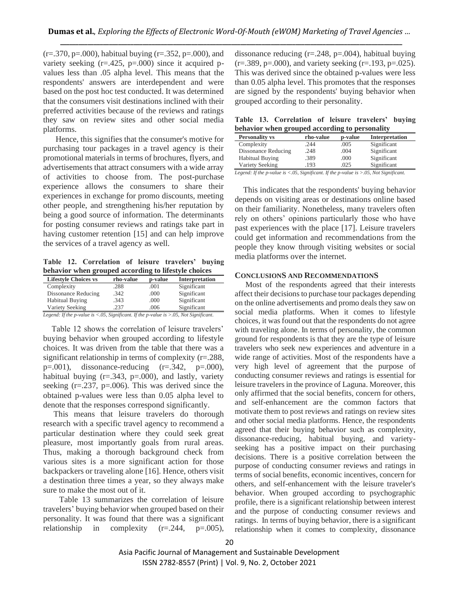$(r=.370, p=.000)$ , habitual buying  $(r=.352, p=.000)$ , and variety seeking  $(r=.425, p=.000)$  since it acquired pvalues less than .05 alpha level. This means that the respondents' answers are interdependent and were based on the post hoc test conducted. It was determined that the consumers visit destinations inclined with their preferred activities because of the reviews and ratings they saw on review sites and other social media platforms.

 Hence, this signifies that the consumer's motive for purchasing tour packages in a travel agency is their promotional materials in terms of brochures, flyers, and advertisements that attract consumers with a wide array of activities to choose from. The post-purchase experience allows the consumers to share their experiences in exchange for promo discounts, meeting other people, and strengthening his/her reputation by being a good source of information. The determinants for posting consumer reviews and ratings take part in having customer retention [15] and can help improve the services of a travel agency as well.

**Table 12. Correlation of leisure travelers' buying behavior when grouped according to lifestyle choices**

| <b>Lifestyle Choices vs</b> | rho-value | p-value | <b>Interpretation</b> |
|-----------------------------|-----------|---------|-----------------------|
| Complexity                  | .288      | .001    | Significant           |
| Dissonance Reducing         | .342      | .000    | Significant           |
| <b>Habitual Buying</b>      | .343      | .000    | Significant           |
| Variety Seeking             | 237       | .006    | Significant           |

*Legend: If the p-value is <.05, Significant. If the p-value is >.05, Not Significant.*

 Table 12 shows the correlation of leisure travelers' buying behavior when grouped according to lifestyle choices. It was driven from the table that there was a significant relationship in terms of complexity (r=.288,  $p=.001$ ), dissonance-reducing  $(r=.342, p=.000)$ , habitual buying  $(r=.343, p=.000)$ , and lastly, variety seeking  $(r=.237, p=.006)$ . This was derived since the obtained p-values were less than 0.05 alpha level to denote that the responses correspond significantly.

 This means that leisure travelers do thorough research with a specific travel agency to recommend a particular destination where they could seek great pleasure, most importantly goals from rural areas. Thus, making a thorough background check from various sites is a more significant action for those backpackers or traveling alone [16]. Hence, others visit a destination three times a year, so they always make sure to make the most out of it.

Table 13 summarizes the correlation of leisure travelers' buying behavior when grouped based on their personality. It was found that there was a significant relationship in complexity (r=.244, p=.005), dissonance reducing (r=.248, p=.004), habitual buying  $(r=.389, p=.000)$ , and variety seeking  $(r=.193, p=.025)$ . This was derived since the obtained p-values were less than 0.05 alpha level. This promotes that the responses are signed by the respondents' buying behavior when grouped according to their personality.

**Table 13. Correlation of leisure travelers' buying behavior when grouped according to personality**

| <b>Personality vs</b>                   | rho-value                          | p-value | <b>Interpretation</b> |
|-----------------------------------------|------------------------------------|---------|-----------------------|
| Complexity                              | .244                               | .005    | Significant           |
| Dissonance Reducing                     | .248                               | .004    | Significant           |
| <b>Habitual Buying</b>                  | .389                               | .000    | Significant           |
| Variety Seeking                         | .193                               | .025    | Significant           |
| $\mathbf{v}$ and $\mathbf{v}$<br>$\sim$ | $\sim$ $ \sim$ $ \sim$ $\sim$<br>. |         |                       |

*Legend: If the p-value is <.05, Significant. If the p-value is >.05, Not Significant.*

 This indicates that the respondents' buying behavior depends on visiting areas or destinations online based on their familiarity. Nonetheless, many travelers often rely on others' opinions particularly those who have past experiences with the place [17]. Leisure travelers could get information and recommendations from the people they know through visiting websites or social media platforms over the internet.

#### **CONCLUSIONS AND RECOMMENDATIONS**

Most of the respondents agreed that their interests affect their decisions to purchase tour packages depending on the online advertisements and promo deals they saw on social media platforms. When it comes to lifestyle choices, it was found out that the respondents do not agree with traveling alone. In terms of personality, the common ground for respondents is that they are the type of leisure travelers who seek new experiences and adventure in a wide range of activities. Most of the respondents have a very high level of agreement that the purpose of conducting consumer reviews and ratings is essential for leisure travelers in the province of Laguna. Moreover, this only affirmed that the social benefits, concern for others, and self-enhancement are the common factors that motivate them to post reviews and ratings on review sites and other social media platforms. Hence, the respondents agreed that their buying behavior such as complexity, dissonance-reducing, habitual buying, and varietyseeking has a positive impact on their purchasing decisions. There is a positive correlation between the purpose of conducting consumer reviews and ratings in terms of social benefits, economic incentives, concern for others, and self-enhancement with the leisure traveler's behavior. When grouped according to psychographic profile, there is a significant relationship between interest and the purpose of conducting consumer reviews and ratings. In terms of buying behavior, there is a significant relationship when it comes to complexity, dissonance